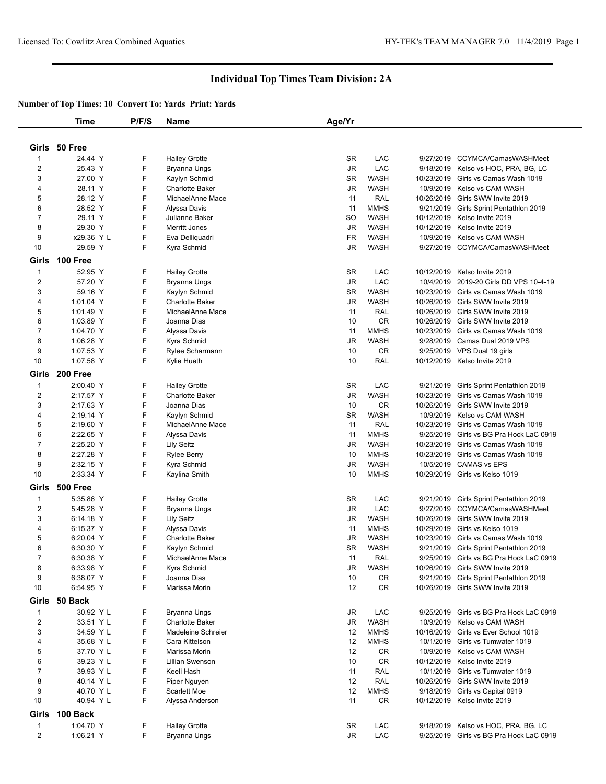## **Individual Top Times Team Division: 2A**

## **Number of Top Times: 10 Convert To: Yards Print: Yards**

|                         | <b>Time</b>     | P/F/S  | Name                      | Age/Yr                 |             |            |                                         |
|-------------------------|-----------------|--------|---------------------------|------------------------|-------------|------------|-----------------------------------------|
|                         |                 |        |                           |                        |             |            |                                         |
|                         | Girls 50 Free   |        |                           |                        |             |            |                                         |
|                         |                 |        |                           |                        |             |            |                                         |
| 1                       | 24.44 Y         | F      | <b>Hailey Grotte</b>      | <b>SR</b>              | LAC         | 9/27/2019  | CCYMCA/CamasWASHMeet                    |
| 2                       | 25.43 Y         | F      | Bryanna Ungs              | <b>JR</b>              | LAC         | 9/18/2019  | Kelso vs HOC, PRA, BG, LC               |
| 3                       | 27.00 Y         | F      | Kaylyn Schmid             | SR                     | <b>WASH</b> | 10/23/2019 | Girls vs Camas Wash 1019                |
| 4                       | 28.11 Y         | F      | <b>Charlotte Baker</b>    | <b>JR</b>              | <b>WASH</b> | 10/9/2019  | Kelso vs CAM WASH                       |
| 5                       | 28.12 Y         | F      | MichaelAnne Mace          | 11                     | RAL         | 10/26/2019 | Girls SWW Invite 2019                   |
| 6                       | 28.52 Y         | F      | Alyssa Davis              | 11                     | <b>MMHS</b> | 9/21/2019  | Girls Sprint Pentathlon 2019            |
| $\overline{7}$          | 29.11 Y         | F      | Julianne Baker            | SO                     | <b>WASH</b> | 10/12/2019 | Kelso Invite 2019                       |
| 8                       | 29.30 Y         | F      | <b>Merritt Jones</b>      | JR                     | <b>WASH</b> | 10/12/2019 | Kelso Invite 2019                       |
| 9                       | x29.36 Y L      | F<br>F | Eva Delliquadri           | FR                     | <b>WASH</b> | 10/9/2019  | Kelso vs CAM WASH                       |
| 10                      | 29.59 Y         |        | Kyra Schmid               | JR                     | <b>WASH</b> |            | 9/27/2019 CCYMCA/CamasWASHMeet          |
| Girls                   | <b>100 Free</b> |        |                           |                        |             |            |                                         |
| 1                       | 52.95 Y         | F      | <b>Hailey Grotte</b>      | SR                     | LAC         | 10/12/2019 | Kelso Invite 2019                       |
| $\overline{\mathbf{c}}$ | 57.20 Y         | F      | Bryanna Ungs              | <b>JR</b>              | LAC         | 10/4/2019  | 2019-20 Girls DD VPS 10-4-19            |
| 3                       | 59.16 Y         | F      | Kaylyn Schmid             | SR                     | <b>WASH</b> | 10/23/2019 | Girls vs Camas Wash 1019                |
| 4                       | 1:01.04 Y       | F      | <b>Charlotte Baker</b>    | JR                     | <b>WASH</b> | 10/26/2019 | Girls SWW Invite 2019                   |
| 5                       | 1:01.49 Y       | F      | MichaelAnne Mace          | 11                     | RAL         | 10/26/2019 | Girls SWW Invite 2019                   |
| 6                       | 1:03.89 Y       | F      | Joanna Dias               | 10                     | <b>CR</b>   | 10/26/2019 | Girls SWW Invite 2019                   |
| $\overline{7}$          | 1:04.70 Y       | F      | Alyssa Davis              | 11                     | <b>MMHS</b> | 10/23/2019 | Girls vs Camas Wash 1019                |
| 8                       | 1:06.28 Y       | F      | Kyra Schmid               | JR                     | <b>WASH</b> | 9/28/2019  | Camas Dual 2019 VPS                     |
| 9                       | 1:07.53 Y       | F      | Rylee Scharmann           | 10                     | CR          | 9/25/2019  | VPS Dual 19 girls                       |
| 10                      | 1:07.58 Y       | F      | Kylie Hueth               | 10                     | RAL         |            | 10/12/2019 Kelso Invite 2019            |
| Girls                   | 200 Free        |        |                           |                        |             |            |                                         |
| 1                       | 2:00.40 Y       | F      | <b>Hailey Grotte</b>      | SR                     | LAC         | 9/21/2019  | Girls Sprint Pentathlon 2019            |
| $\overline{\mathbf{c}}$ | 2:17.57 Y       | F      | <b>Charlotte Baker</b>    | <b>JR</b>              | <b>WASH</b> | 10/23/2019 | Girls vs Camas Wash 1019                |
| 3                       | 2:17.63 Y       | F      | Joanna Dias               | 10                     | <b>CR</b>   | 10/26/2019 | Girls SWW Invite 2019                   |
| 4                       | 2:19.14 Y       | F      | Kaylyn Schmid             | SR                     | <b>WASH</b> | 10/9/2019  | Kelso vs CAM WASH                       |
| 5                       | 2:19.60 Y       | F      | MichaelAnne Mace          | 11                     | RAL         | 10/23/2019 | Girls vs Camas Wash 1019                |
| 6                       | 2:22.65 Y       | F      | Alyssa Davis              | 11                     | <b>MMHS</b> | 9/25/2019  | Girls vs BG Pra Hock LaC 0919           |
| $\overline{7}$          | 2:25.20 Y       | F      | <b>Lily Seitz</b>         | JR                     | <b>WASH</b> | 10/23/2019 | Girls vs Camas Wash 1019                |
| 8                       | 2:27.28 Y       | F      | <b>Rylee Berry</b>        | 10                     | <b>MMHS</b> | 10/23/2019 | Girls vs Camas Wash 1019                |
| 9                       | 2:32.15 Y       | F      | Kyra Schmid               | <b>JR</b>              | <b>WASH</b> | 10/5/2019  | <b>CAMAS vs EPS</b>                     |
| 10                      | 2:33.34 Y       | F      | Kaylina Smith             | 10                     | <b>MMHS</b> |            | 10/29/2019 Girls vs Kelso 1019          |
|                         |                 |        |                           |                        |             |            |                                         |
| Girls                   | <b>500 Free</b> |        |                           |                        |             |            |                                         |
| 1                       | 5:35.86 Y       | F      | <b>Hailey Grotte</b>      | <b>SR</b>              | LAC         | 9/21/2019  | Girls Sprint Pentathlon 2019            |
| $\overline{c}$          | 5:45.28 Y       | F      | Bryanna Ungs              | JR                     | LAC         | 9/27/2019  | CCYMCA/CamasWASHMeet                    |
| 3                       | 6:14.18 Y       | F      | <b>Lily Seitz</b>         | JR                     | <b>WASH</b> | 10/26/2019 | Girls SWW Invite 2019                   |
| 4                       | 6:15.37 Y       | F      | Alyssa Davis              | 11                     | <b>MMHS</b> | 10/29/2019 | Girls vs Kelso 1019                     |
| 5                       | 6:20.04 Y       | F      | <b>Charlotte Baker</b>    | <b>JR</b>              | <b>WASH</b> | 10/23/2019 | Girls vs Camas Wash 1019                |
| 6                       | 6:30.30 Y       | F<br>F | Kaylyn Schmid             | SR                     | <b>WASH</b> |            | 9/21/2019 Girls Sprint Pentathlon 2019  |
| 7                       | 6:30.38 Y       |        | MichaelAnne Mace          | 11                     | <b>RAL</b>  |            | 9/25/2019 Girls vs BG Pra Hock LaC 0919 |
| 8                       | 6:33.98 Y       | F      | Kyra Schmid               | JR                     | <b>WASH</b> | 10/26/2019 | Girls SWW Invite 2019                   |
| 9                       | 6:38.07 Y       | F      | Joanna Dias               | 10                     | CR          | 9/21/2019  | Girls Sprint Pentathlon 2019            |
| 10                      | 6:54.95 Y       | F      | Marissa Morin             | 12                     | <b>CR</b>   |            | 10/26/2019 Girls SWW Invite 2019        |
| Girls                   | 50 Back         |        |                           |                        |             |            |                                         |
| 1                       | 30.92 Y L       | F      | Bryanna Ungs              | $\mathsf{J}\mathsf{R}$ | LAC         | 9/25/2019  | Girls vs BG Pra Hock LaC 0919           |
| $\overline{\mathbf{c}}$ | 33.51 Y L       | F      | <b>Charlotte Baker</b>    | $\mathsf{J}\mathsf{R}$ | <b>WASH</b> | 10/9/2019  | Kelso vs CAM WASH                       |
| 3                       | 34.59 Y L       | F      | <b>Madeleine Schreier</b> | 12                     | <b>MMHS</b> | 10/16/2019 | Girls vs Ever School 1019               |
| 4                       | 35.68 Y L       | F      | Cara Kittelson            | 12                     | <b>MMHS</b> | 10/1/2019  | Girls vs Tumwater 1019                  |
| 5                       | 37.70 Y L       | F      | Marissa Morin             | 12                     | CR          | 10/9/2019  | Kelso vs CAM WASH                       |
| 6                       | 39.23 Y L       | F      | <b>Lillian Swenson</b>    | 10                     | CR          |            | 10/12/2019 Kelso Invite 2019            |
| $\overline{7}$          | 39.93 Y L       | F      | Keeli Hash                | 11                     | RAL         |            | 10/1/2019 Girls vs Tumwater 1019        |
| 8                       | 40.14 Y L       | F      | Piper Nguyen              | 12                     | RAL         |            | 10/26/2019 Girls SWW Invite 2019        |
| 9                       | 40.70 Y L       | F      | <b>Scarlett Moe</b>       | 12                     | <b>MMHS</b> | 9/18/2019  | Girls vs Capital 0919                   |
| 10                      | 40.94 Y L       | F      | Alyssa Anderson           | 11                     | CR          |            | 10/12/2019 Kelso Invite 2019            |
| Girls                   | 100 Back        |        |                           |                        |             |            |                                         |
| 1                       | 1:04.70 Y       | F      | <b>Hailey Grotte</b>      | SR                     | LAC         |            | 9/18/2019 Kelso vs HOC, PRA, BG, LC     |
| $\overline{\mathbf{c}}$ | 1:06.21 Y       | F      | <b>Bryanna Ungs</b>       | JR                     | LAC         |            | 9/25/2019 Girls vs BG Pra Hock LaC 0919 |
|                         |                 |        |                           |                        |             |            |                                         |